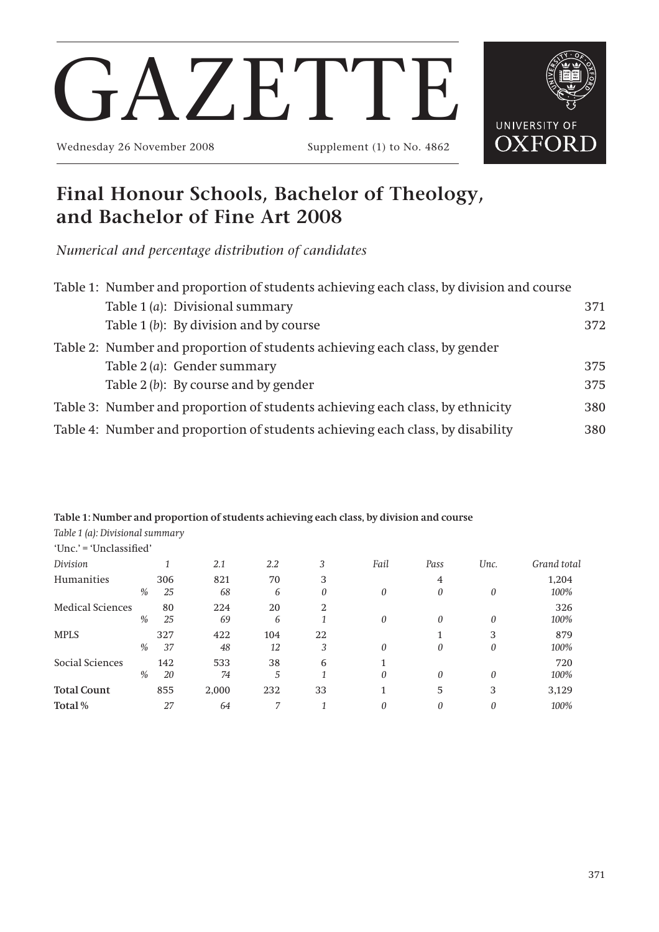# **Final Honour Schools, Bachelor of Theology, and Bachelor of Fine Art 2008**

*Numerical and percentage distribution of candidates*

| Table 1: Number and proportion of students achieving each class, by division and course |     |
|-----------------------------------------------------------------------------------------|-----|
| Table 1 (a): Divisional summary                                                         | 371 |
| Table $1(b)$ : By division and by course                                                | 372 |
| Table 2: Number and proportion of students achieving each class, by gender              |     |
| Table 2 ( <i>a</i> ): Gender summary                                                    | 375 |
| Table 2 (b): By course and by gender                                                    | 375 |
| Table 3: Number and proportion of students achieving each class, by ethnicity           | 380 |
| Table 4: Number and proportion of students achieving each class, by disability          | 380 |

**Table 1: Number and proportion of students achieving each class, by division and course**

| Table 1 (a): Divisional summary |      |     |       |     |    |          |          |      |             |
|---------------------------------|------|-----|-------|-----|----|----------|----------|------|-------------|
| 'Unc.' = 'Unclassified'         |      |     |       |     |    |          |          |      |             |
| Division                        |      |     | 2.1   | 2.2 | 3  | Fail     | Pass     | Unc. | Grand total |
| Humanities                      |      | 306 | 821   | 70  | 3  |          | 4        |      | 1,204       |
|                                 | %    | 25  | 68    | 6   | 0  | 0        | $\Omega$ | 0    | 100%        |
| <b>Medical Sciences</b>         |      | 80  | 224   | 20  | 2  |          |          |      | 326         |
|                                 | $\%$ | 25  | 69    | 6   |    | $\theta$ | 0        | 0    | 100%        |
| <b>MPLS</b>                     |      | 327 | 422   | 104 | 22 |          |          | 3    | 879         |
|                                 | $\%$ | 37  | 48    | 12  | 3  | $\theta$ | $\Omega$ | 0    | 100%        |
| Social Sciences                 |      | 142 | 533   | 38  | 6  |          |          |      | 720         |
|                                 | $\%$ | 20  | 74    | 5   |    | $\theta$ | $\theta$ | 0    | 100%        |
| <b>Total Count</b>              |      | 855 | 2,000 | 232 | 33 |          | 5        | 3    | 3,129       |
| Total%                          |      | 27  | 64    | 7   |    |          | 0        | 0    | 100%        |



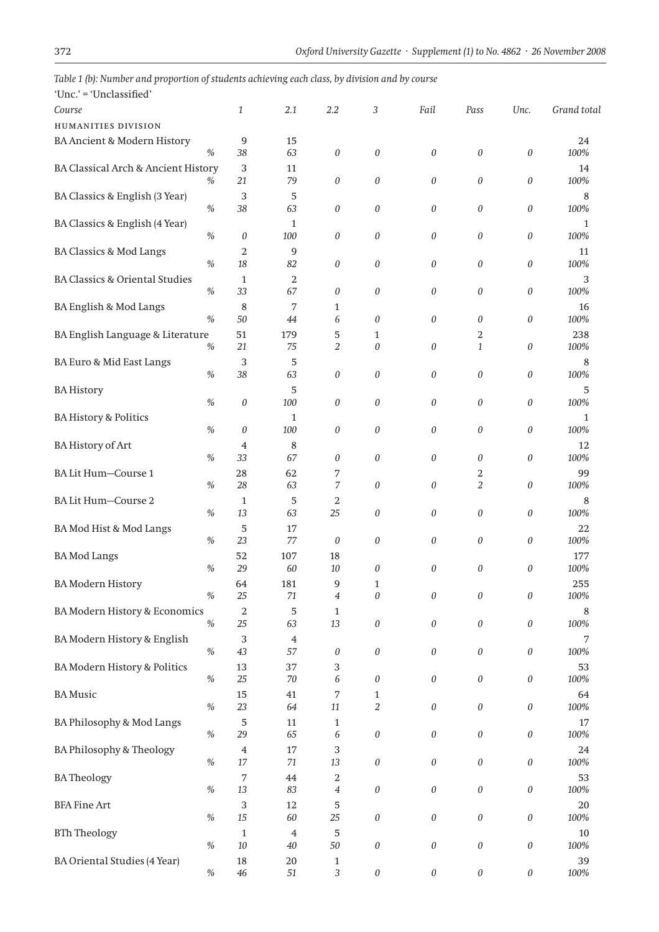| Unc. = Unclassified                       |      |                |                     |                  |                       |                  |                  |                  |                      |
|-------------------------------------------|------|----------------|---------------------|------------------|-----------------------|------------------|------------------|------------------|----------------------|
| Course                                    |      | 1              | 2.1                 | 2.2              | 3                     | Fail             | Pass             | Unc.             | Grand total          |
| <b>HUMANITIES DIVISION</b>                |      |                |                     |                  |                       |                  |                  |                  |                      |
| <b>BA Ancient &amp; Modern History</b>    |      | 9              | 15                  |                  |                       |                  |                  |                  | 24                   |
|                                           | $\%$ | 38             | 63                  | $\boldsymbol{0}$ | 0                     | $\boldsymbol{0}$ | $\boldsymbol{0}$ | $\boldsymbol{0}$ | 100%                 |
| BA Classical Arch & Ancient History       |      | 3              | 11                  |                  |                       |                  |                  |                  | 14                   |
|                                           | %    | 21             | 79                  | $\boldsymbol{0}$ | 0                     | 0                | $\boldsymbol{0}$ | 0                | 100%                 |
| BA Classics & English (3 Year)            |      | 3              | 5                   |                  |                       |                  |                  |                  | 8                    |
|                                           | $\%$ | 38             | 63                  | $\boldsymbol{0}$ | 0                     | 0                | $\boldsymbol{0}$ | 0                | 100%                 |
| BA Classics & English (4 Year)            |      |                | $\mathbf{1}$        |                  |                       |                  |                  |                  | 1                    |
|                                           | $\%$ | 0              | 100                 | $\boldsymbol{0}$ | 0                     | 0                | $\boldsymbol{0}$ | 0                | 100%                 |
| BA Classics & Mod Langs                   |      | 2              | 9                   |                  |                       |                  |                  |                  | 11                   |
|                                           | $\%$ | 18             | 82                  | $\boldsymbol{0}$ | 0                     | 0                | $\boldsymbol{0}$ | 0                | 100%                 |
| <b>BA Classics &amp; Oriental Studies</b> |      | $\mathbf{1}$   | $\overline{2}$      |                  |                       |                  |                  |                  | 3                    |
|                                           | $\%$ | 33             | 67                  | $\boldsymbol{0}$ | 0                     | 0                | $\boldsymbol{0}$ | 0                | 100%                 |
| BA English & Mod Langs                    |      | 8              | 7                   | $\mathbf{1}$     |                       |                  |                  |                  | 16                   |
|                                           | $\%$ | 50             | 44                  | 6                | 0                     | 0                | $\boldsymbol{0}$ | 0                | 100%                 |
| BA English Language & Literature          |      | 51             | 179                 | 5                | 1                     |                  | 2                |                  | 238                  |
|                                           | $\%$ | 21             | 75                  | $\overline{2}$   | $\boldsymbol{\theta}$ | 0                | $\mathbf{1}$     | 0                | 100%                 |
| BA Euro & Mid East Langs                  |      | 3              | 5                   |                  |                       |                  |                  |                  | 8                    |
|                                           | $\%$ | 38             | 63                  | $\boldsymbol{0}$ | 0                     | 0                | $\boldsymbol{0}$ | 0                | 100%                 |
|                                           |      |                |                     |                  |                       |                  |                  |                  | 5                    |
| <b>BA History</b>                         | $\%$ | 0              | 5<br>100            | $\boldsymbol{0}$ | $\boldsymbol{0}$      | 0                | $\boldsymbol{0}$ | 0                | 100%                 |
|                                           |      |                |                     |                  |                       |                  |                  |                  |                      |
| <b>BA History &amp; Politics</b>          | $\%$ |                | $\mathbf{1}$<br>100 | $\boldsymbol{0}$ |                       | 0                | $\theta$         | 0                | $\mathbf{1}$<br>100% |
|                                           |      | 0              |                     |                  | 0                     |                  |                  |                  |                      |
| <b>BA History of Art</b>                  |      | 4              | 8                   |                  |                       |                  |                  |                  | 12                   |
|                                           | $\%$ | 33             | 67                  | $\boldsymbol{0}$ | 0                     | 0                | $\theta$         | 0                | 100%                 |
| BA Lit Hum-Course 1                       |      | 28             | 62                  | 7                |                       |                  | 2                |                  | 99                   |
|                                           | $\%$ | 28             | 63                  | 7                | 0                     | 0                | $\overline{2}$   | 0                | 100%                 |
| BA Lit Hum-Course 2                       |      | 1              | 5                   | 2                |                       |                  |                  |                  | 8                    |
|                                           | $\%$ | 13             | 63                  | 25               | 0                     | 0                | $\boldsymbol{0}$ | 0                | 100%                 |
| BA Mod Hist & Mod Langs                   |      | 5              | 17                  |                  |                       |                  |                  |                  | 22                   |
|                                           | $\%$ | 23             | 77                  | $\boldsymbol{0}$ | 0                     | 0                | $\boldsymbol{0}$ | 0                | 100%                 |
| <b>BA</b> Mod Langs                       |      | 52             | 107                 | 18               |                       |                  |                  |                  | 177                  |
|                                           | $\%$ | 29             | 60                  | 10               | 0                     | 0                | $\boldsymbol{0}$ | 0                | 100%                 |
| <b>BA Modern History</b>                  |      | 64             | 181                 | 9                | $\mathbf{1}$          |                  |                  |                  | 255                  |
|                                           | $\%$ | $25\,$         | $71\,$              | $\overline{4}$   | $\boldsymbol{0}$      | 0                | $\boldsymbol{0}$ | $\boldsymbol{0}$ | 100%                 |
| BA Modern History & Economics             |      | $\,2$          | 5                   | 1                |                       |                  |                  |                  | 8                    |
|                                           | $\%$ | 25             | 63                  | 13               | $\boldsymbol{0}$      | $\boldsymbol{0}$ | $\boldsymbol{0}$ | $\boldsymbol{0}$ | 100%                 |
| BA Modern History & English               |      | 3              | $\overline{4}$      |                  |                       |                  |                  |                  | 7                    |
|                                           | $\%$ | 43             | 57                  | $\boldsymbol{0}$ | $\boldsymbol{0}$      | $\boldsymbol{0}$ | $\boldsymbol{0}$ | $\boldsymbol{0}$ | 100%                 |
| <b>BA Modern History &amp; Politics</b>   |      | 13             | 37                  | 3                |                       |                  |                  |                  | 53                   |
|                                           | $\%$ | $25\,$         | 70                  | 6                | 0                     | 0                | $\boldsymbol{0}$ | 0                | 100%                 |
| <b>BA</b> Music                           |      | 15             | 41                  | $\boldsymbol{7}$ | 1                     |                  |                  |                  | 64                   |
|                                           | $\%$ | 23             | 64                  | $11\,$           | $\sqrt{2}$            | 0                | $\boldsymbol{0}$ | 0                | 100%                 |
| BA Philosophy & Mod Langs                 |      | 5              | 11                  | 1                |                       |                  |                  |                  | 17                   |
|                                           | $\%$ | 29             | 65                  | 6                | $\boldsymbol{0}$      | 0                | $\boldsymbol{0}$ | 0                | 100%                 |
| BA Philosophy & Theology                  |      | $\overline{4}$ | 17                  | 3                |                       |                  |                  |                  | 24                   |
|                                           | $\%$ | 17             | $71\,$              | 13               | $\boldsymbol{0}$      | $\boldsymbol{0}$ | $\boldsymbol{0}$ | 0                | 100%                 |
| <b>BA Theology</b>                        |      | 7              | 44                  | $\sqrt{2}$       |                       |                  |                  |                  | 53                   |
|                                           | $\%$ | 13             | 83                  | $\overline{4}$   | $\boldsymbol{0}$      | $\boldsymbol{0}$ | $\boldsymbol{0}$ | 0                | 100%                 |
| <b>BFA Fine Art</b>                       |      | 3              | 12                  | 5                |                       |                  |                  |                  | 20                   |
|                                           | $\%$ | 15             | $60\,$              | $25\,$           | $\boldsymbol{0}$      | $\boldsymbol{0}$ | $\boldsymbol{0}$ | 0                | 100%                 |
| <b>BTh Theology</b>                       |      | $\mathbf{1}$   | $\overline{4}$      | 5                |                       |                  |                  |                  | $10\,$               |
|                                           | $\%$ | $10\,$         | 40                  | 50               | 0                     | $\boldsymbol{0}$ | $\boldsymbol{0}$ | 0                | 100%                 |
| <b>BA Oriental Studies (4 Year)</b>       |      | 18             | $20\,$              | $\mathbf{1}$     |                       |                  |                  |                  | 39                   |
|                                           | $\%$ | $\sqrt{46}$    | 51                  | $\mathfrak{Z}$   | $\boldsymbol{0}$      | $\boldsymbol{0}$ | $\boldsymbol{0}$ | 0                | 100%                 |
|                                           |      |                |                     |                  |                       |                  |                  |                  |                      |

*Table 1 (b): Number and proportion of students achieving each class, by division and by course*  $'Unc' = 'Unclascified'$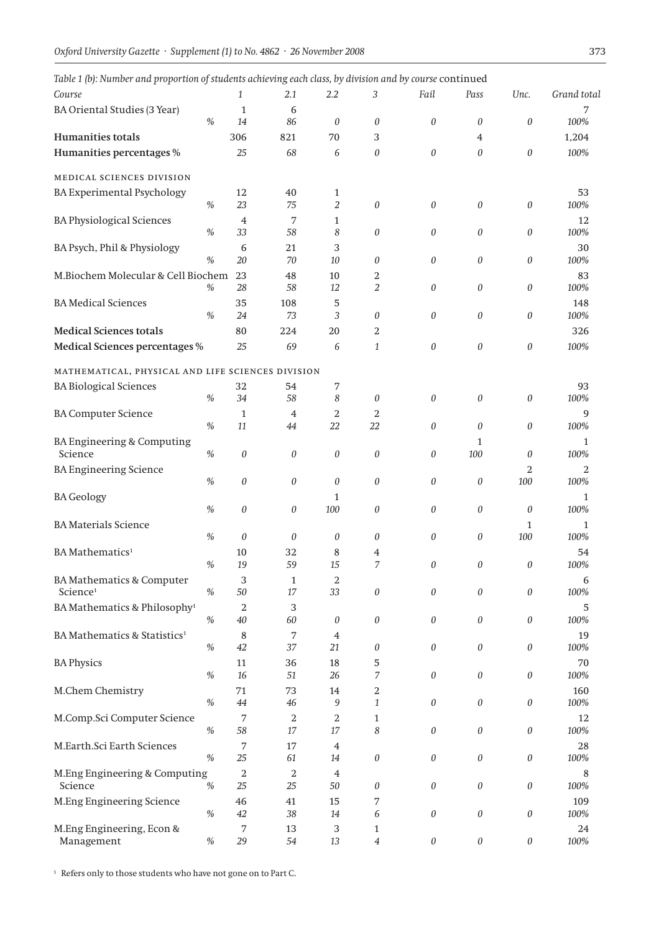| Course<br>1                                                          | 2.1                    | 2.2            | 3                   | Fail             | Pass                      | Unc.                  |              |
|----------------------------------------------------------------------|------------------------|----------------|---------------------|------------------|---------------------------|-----------------------|--------------|
|                                                                      |                        |                |                     |                  |                           |                       | Grand total  |
| <b>BA Oriental Studies (3 Year)</b><br>$\mathbf{1}$                  | 6                      |                |                     |                  |                           |                       | 7            |
| $\%$<br>14                                                           | 86                     | $\theta$       | 0                   | 0                | $\theta$                  | $\boldsymbol{0}$      | 100%         |
| Humanities totals<br>306                                             | 821                    | 70             | 3                   |                  | $\overline{4}$            |                       | 1,204        |
| Humanities percentages %<br>25                                       | 68                     | 6              | $\theta$            | 0                | $\theta$                  | $\boldsymbol{0}$      | 100%         |
| MEDICAL SCIENCES DIVISION                                            |                        |                |                     |                  |                           |                       |              |
| <b>BA Experimental Psychology</b><br>12                              | 40                     | 1              |                     |                  |                           |                       | 53           |
| $\%$<br>23                                                           | 75                     | $\overline{2}$ | $\theta$            | $\theta$         | $\theta$                  | $\boldsymbol{0}$      | 100%         |
| <b>BA Physiological Sciences</b><br>$\overline{4}$                   | 7                      | 1              |                     |                  |                           |                       | 12           |
| $\frac{0}{0}$<br>33                                                  | 58                     | 8              | $\boldsymbol{0}$    | 0                | $\theta$                  | $\boldsymbol{0}$      | 100%         |
| BA Psych, Phil & Physiology<br>6                                     | 21                     | 3              |                     |                  |                           |                       | 30           |
| $\%$<br>20                                                           | $70\,$                 | $10\,$         | $\theta$            | 0                | $\theta$                  | $\boldsymbol{0}$      | 100%         |
| M.Biochem Molecular & Cell Biochem<br>23                             | 48                     | 10             | 2                   |                  |                           |                       | 83           |
| 28<br>%                                                              | 58                     | $12\,$         | 2                   | 0                | $\theta$                  | $\boldsymbol{0}$      | 100%         |
| <b>BA Medical Sciences</b><br>35                                     | 108                    | 5              |                     |                  |                           |                       | 148          |
| $\%$<br>24                                                           | 73                     | 3              | 0                   | 0                | $\theta$                  | $\boldsymbol{0}$      | 100%         |
| <b>Medical Sciences totals</b><br>80                                 | 224                    | 20             | 2                   |                  |                           |                       | 326          |
| Medical Sciences percentages %<br>25                                 | 69                     | 6              | $\mathbf{1}$        | 0                | $\theta$                  | $\boldsymbol{0}$      | 100%         |
| MATHEMATICAL, PHYSICAL AND LIFE SCIENCES DIVISION                    |                        |                |                     |                  |                           |                       |              |
| 32<br><b>BA Biological Sciences</b>                                  | 54                     | 7              |                     |                  |                           |                       | 93           |
| $\frac{0}{0}$<br>34                                                  | 58                     | 8              | 0                   | 0                | $\theta$                  | $\boldsymbol{0}$      | 100%         |
| <b>BA Computer Science</b><br>$\mathbf{1}$                           | 4                      | 2              | 2                   |                  |                           |                       | 9            |
| $\%$<br>11                                                           | 44                     | 22             | 22                  | 0                | $\theta$                  | $\boldsymbol{0}$      | 100%         |
| BA Engineering & Computing                                           |                        |                |                     |                  | 1                         |                       | 1            |
| Science<br>$\%$<br>$\boldsymbol{0}$                                  | $\boldsymbol{0}$       | $\theta$       | $\boldsymbol{0}$    | 0                | 100                       | $\theta$              | 100%         |
| <b>BA Engineering Science</b>                                        |                        |                |                     |                  |                           | 2                     | 2            |
| $\%$<br>$\boldsymbol{0}$                                             | $\boldsymbol{0}$       | 0              | $\theta$            | 0                | 0                         | $100\,$               | 100%         |
| <b>BA Geology</b>                                                    |                        | 1              |                     |                  |                           |                       | 1            |
| $\frac{0}{0}$<br>$\theta$                                            | 0                      | 100            | $\boldsymbol{0}$    | 0                | 0                         | $\boldsymbol{0}$      | 100%         |
| <b>BA Materials Science</b>                                          |                        |                |                     |                  |                           | $\mathbf{1}$          | $\mathbf{1}$ |
| $\%$<br>$\theta$                                                     | $\theta$               | 0              | 0                   | 0                | $\theta$                  | 100                   | 100%         |
| <b>BA</b> Mathematics <sup>1</sup><br>10                             | 32                     | 8              | 4<br>$\overline{7}$ |                  |                           |                       | 54           |
| $\%$<br>19                                                           | 59                     | 15             |                     | 0                | $\theta$                  | 0                     | 100%         |
| BA Mathematics & Computer<br>3<br>Science <sup>1</sup><br>50<br>$\%$ | $\mathbf{1}$<br>$17\,$ | 2<br>33        | $\boldsymbol{0}$    | 0                | 0                         | $\boldsymbol{0}$      | 6<br>100%    |
|                                                                      |                        |                |                     |                  |                           |                       |              |
| BA Mathematics & Philosophy <sup>1</sup><br>2<br>$\%$<br>40          | 3<br>60                | 0              | 0                   | 0                | $\boldsymbol{\mathit{0}}$ | $\boldsymbol{0}$      | 5<br>100%    |
| BA Mathematics & Statistics <sup>1</sup>                             | 7                      |                |                     |                  |                           |                       | 19           |
| 8<br>$\%$<br>42                                                      | 37                     | 4<br>21        | 0                   | 0                | $\theta$                  | $\boldsymbol{0}$      | 100%         |
| <b>BA Physics</b><br>11                                              | 36                     | 18             | 5                   |                  |                           |                       | 70           |
| $\%$<br>16                                                           | 51                     | 26             | 7                   | 0                | $\boldsymbol{0}$          | $\boldsymbol{0}$      | 100%         |
| M.Chem Chemistry<br>71                                               | 73                     | 14             | 2                   |                  |                           |                       | 160          |
| $\%$<br>44                                                           | 46                     | 9              | 1                   | 0                | $\theta$                  | $\it{0}$              | 100%         |
| M.Comp.Sci Computer Science<br>7                                     | 2                      | 2              | $\mathbf{1}$        |                  |                           |                       | 12           |
| $\%$<br>58                                                           | 17                     | $17\,$         | 8                   | 0                | 0                         | $\it{0}$              | 100%         |
| M.Earth.Sci Earth Sciences<br>7                                      | $17\,$                 | 4              |                     |                  |                           |                       | 28           |
| $\%$<br>25                                                           | 61                     | 14             | $\boldsymbol{0}$    | 0                | 0                         | $\boldsymbol{\theta}$ | 100%         |
| M.Eng Engineering & Computing<br>2                                   | 2                      | 4              |                     |                  |                           |                       | 8            |
| $\%$<br>$25\,$<br>Science                                            | $25\,$                 | $50\,$         | 0                   | 0                | 0                         | $\it{0}$              | 100%         |
| M.Eng Engineering Science<br>46                                      | 41                     | 15             | 7                   |                  |                           |                       | 109          |
| %<br>42                                                              | 38                     | 14             | 6                   | 0                | 0                         | $\boldsymbol{0}$      | 100%         |
| M.Eng Engineering, Econ &<br>7                                       | 13                     | 3              | $\mathbf{1}$        |                  |                           |                       | 24           |
| Management<br>29<br>%                                                | 54                     | 13             | 4                   | $\boldsymbol{0}$ | $\boldsymbol{0}$          | $\boldsymbol{\theta}$ | 100%         |

 $^{\rm 1}$  Refers only to those students who have not gone on to Part C.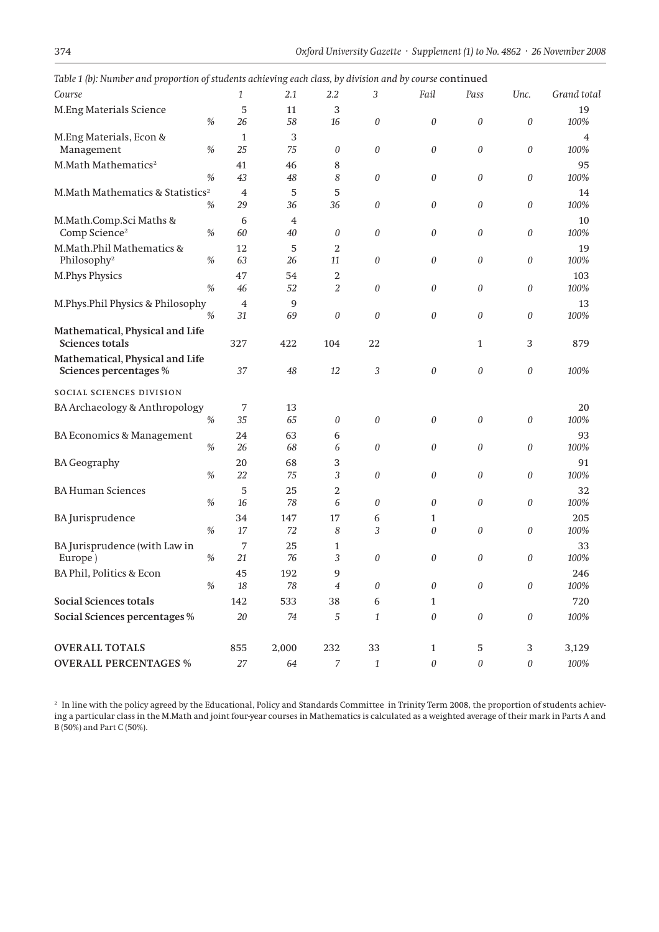| Course                                                    |               | 1              | 2.1                  | $2.2\,$          | 3                | Fail             | Pass             | Unc.                      | Grand total |
|-----------------------------------------------------------|---------------|----------------|----------------------|------------------|------------------|------------------|------------------|---------------------------|-------------|
| M.Eng Materials Science                                   |               | 5              | 11                   | 3                |                  |                  |                  |                           | 19          |
|                                                           | $\%$          | 26             | 58                   | 16               | 0                | $\theta$         | 0                | 0                         | 100%        |
| M.Eng Materials, Econ &                                   |               | 1              | 3                    |                  |                  |                  |                  |                           | 4           |
| Management                                                | %             | 25             | 75                   | 0                | $\boldsymbol{0}$ | $\boldsymbol{0}$ | 0                | $\boldsymbol{0}$          | 100%        |
| M.Math Mathematics <sup>2</sup>                           |               | 41             | 46                   | 8                |                  |                  |                  |                           | 95          |
|                                                           | $\frac{0}{0}$ | 43             | 48                   | 8                | $\theta$         | $\boldsymbol{0}$ | 0                | 0                         | $100\%$     |
| M.Math Mathematics & Statistics <sup>2</sup>              | $\%$          | $\overline{4}$ | 5                    | 5                |                  |                  |                  |                           | 14          |
|                                                           |               | 29             | 36                   | 36               | 0                | $\boldsymbol{0}$ | 0                | 0                         | 100%        |
| M.Math.Comp.Sci Maths &<br>Comp Science <sup>2</sup>      | $\%$          | 6<br>60        | $\overline{4}$<br>40 | 0                | $\boldsymbol{0}$ | $\boldsymbol{0}$ | 0                | 0                         | 10<br>100%  |
| M.Math.Phil Mathematics &                                 |               | 12             | 5                    | 2                |                  |                  |                  |                           | 19          |
| Philosophy <sup>2</sup>                                   | $\%$          | 63             | 26                   | 11               | $\theta$         | $\boldsymbol{0}$ | 0                | 0                         | 100%        |
| <b>M.Phys Physics</b>                                     |               | 47             | 54                   | 2                |                  |                  |                  |                           | 103         |
|                                                           | $\%$          | 46             | 52                   | 2                | $\theta$         | $\boldsymbol{0}$ | 0                | 0                         | 100%        |
| M.Phys.Phil Physics & Philosophy                          |               | $\overline{4}$ | 9                    |                  |                  |                  |                  |                           | 13          |
|                                                           | $\%$          | 31             | 69                   | 0                | $\boldsymbol{0}$ | $\boldsymbol{0}$ | $\boldsymbol{0}$ | 0                         | 100%        |
| Mathematical, Physical and Life<br><b>Sciences totals</b> |               | 327            | 422                  | 104              | 22               |                  | $\mathbf{1}$     | 3                         | 879         |
| Mathematical, Physical and Life<br>Sciences percentages % |               | 37             | 48                   | 12               | 3                | $\boldsymbol{0}$ | 0                | 0                         | 100%        |
| SOCIAL SCIENCES DIVISION                                  |               |                |                      |                  |                  |                  |                  |                           |             |
| BA Archaeology & Anthropology                             |               | 7              | 13                   |                  |                  |                  |                  |                           | 20          |
|                                                           | $\%$          | 35             | 65                   | 0                | $\theta$         | $\boldsymbol{0}$ | 0                | 0                         | 100%        |
| BA Economics & Management                                 |               | 24             | 63                   | 6                |                  |                  |                  |                           | 93          |
|                                                           | $\%$          | 26             | 68                   | 6                | $\theta$         | $\boldsymbol{0}$ | 0                | 0                         | 100%        |
| <b>BA Geography</b>                                       |               | 20             | 68                   | 3                |                  |                  |                  |                           | 91          |
|                                                           | $\%$          | 22             | 75                   | 3                | $\boldsymbol{0}$ | $\boldsymbol{0}$ | $\boldsymbol{0}$ | 0                         | 100%        |
| <b>BA Human Sciences</b>                                  |               | 5              | 25                   | 2                |                  |                  |                  |                           | 32          |
|                                                           | $\frac{0}{0}$ | 16             | 78                   | 6                | 0                | $\boldsymbol{0}$ | 0                | 0                         | 100%        |
| <b>BA</b> Jurisprudence                                   |               | 34             | 147                  | 17               | 6                | 1                |                  |                           | 205         |
|                                                           | $\%$          | 17             | 72                   | 8                | 3                | 0                | 0                | 0                         | 100%        |
| BA Jurisprudence (with Law in                             |               | 7              | 25                   | 1                |                  |                  |                  |                           | 33          |
| Europe)                                                   | $\%$          | 21             | 76                   | 3                | $\boldsymbol{0}$ | $\boldsymbol{0}$ | 0                | 0                         | 100%        |
| BA Phil, Politics & Econ                                  |               | 45             | 192                  | 9                |                  |                  |                  |                           | 246         |
|                                                           | $\%$          | $18\,$         | 78                   | $\overline{4}$   | $\theta$         | $\boldsymbol{0}$ | $\theta$         | $\boldsymbol{0}$          | 100%        |
| <b>Social Sciences totals</b>                             |               | 142            | 533                  | 38               | 6                | 1                |                  |                           | 720         |
| Social Sciences percentages %                             |               | $20\,$         | 74                   | 5                | $\mathbf{1}$     | $\boldsymbol{0}$ | 0                | $\boldsymbol{\mathit{0}}$ | 100%        |
| <b>OVERALL TOTALS</b>                                     |               | 855            | 2,000                | 232              | 33               | $\mathbf{1}$     | 5                | 3                         | 3,129       |
| <b>OVERALL PERCENTAGES %</b>                              |               | $27\,$         | 64                   | $\boldsymbol{7}$ | $\mathbf{1}$     | $\boldsymbol{0}$ | 0                | 0                         | 100%        |

*Table 1 (b): Number and proportion of students achieving each class, by division and by course* continued

<sup>2</sup> In line with the policy agreed by the Educational, Policy and Standards Committee in Trinity Term 2008, the proportion of students achieving a particular class in the M.Math and joint four-year courses in Mathematics is calculated as a weighted average of their mark in Parts A and B (50%) and Part C (50%).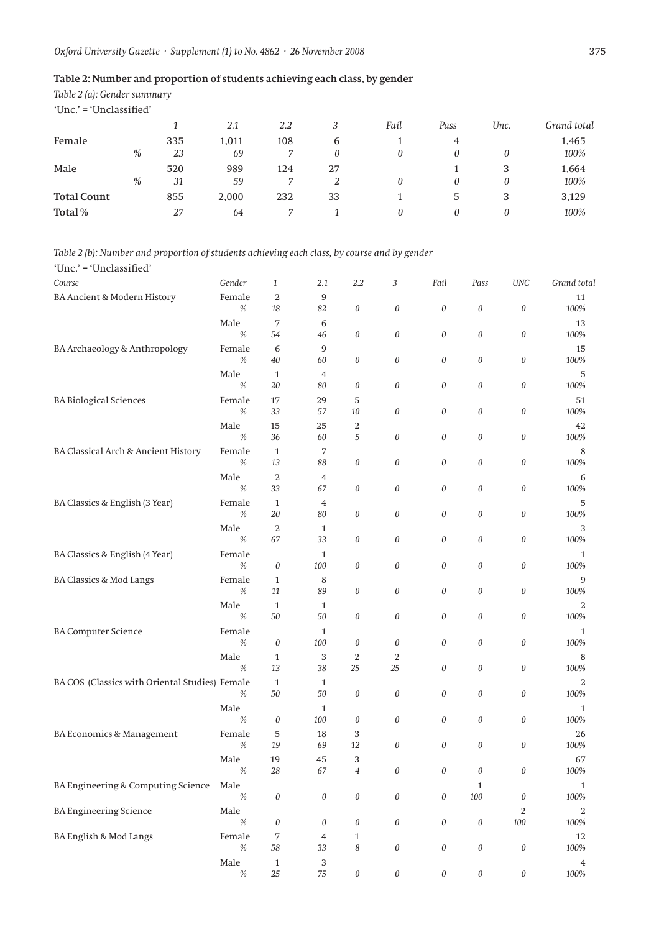### **Table 2: Number and proportion of students achieving each class, by gender**

*Table 2 (a): Gender summary*

'Unc.' = 'Unclassified'

|                    |      |     | 2.1   | 2.2 | 2  | Fail | Pass | Unc. | Grand total |
|--------------------|------|-----|-------|-----|----|------|------|------|-------------|
| Female             |      | 335 | 1,011 | 108 | 6  |      | 4    |      | 1,465       |
|                    | %    | 23  | 69    |     | 0  |      | 0    |      | 100%        |
| Male               |      | 520 | 989   | 124 | 27 |      |      | 3    | 1,664       |
|                    | $\%$ | 31  | 59    |     |    |      | 0    | 0    | 100%        |
| <b>Total Count</b> |      | 855 | 2,000 | 232 | 33 |      | 5    | 3    | 3,129       |
| Total%             |      | 27  | 64    |     |    |      | 0    |      | 100%        |

#### *Table 2 (b): Number and proportion of students achieving each class, by course and by gender*

'Unc.' = 'Unclassified' *Course Gender 1 2.1 2.2 3 Fail Pass UNC Grand total* BA Ancient & Modern History Female 2 9<br>  $\%$  18 82 0 0 0 0 0 100% *% 18 82 0 0 0 0 0 100%* Male  $7$  6  $13$ *% 54 46 0 0 0 0 0 100%* BA Archaeology & Anthropology Female 6 9 15 *% 40 60 0 0 0 0 0 100%* Male  $1$  4 5 *% 20 80 0 0 0 0 0 100%* BA Biological Sciences Female 17 29 5 *% 33 57 10 0 0 0 0 100%* Male  $15$   $25$   $2$   $42$ *% 36 60 5 0 0 0 0 100%* BA Classical Arch & Ancient History Female 1 7 8 8 *% 13 88 0 0 0 0 0 100%* Male  $2$  4 6 *% 33 67 0 0 0 0 0 100%* BA Classics & English (3 Year) Female 1 4 5<br>  $\%$  20 80 0 0 0 0 0 100% *% 20 80 0 0 0 0 0 100%* Male  $2$  1 3 *% 67 33 0 0 0 0 0 100%* BA Classics & English (4 Year) Female 1<br>  $\%$  0 100 0 0 0 0 100% 100% *% 0 100 0 0 0 0 0 100%* BA Classics & Mod Langs<br>  $\begin{array}{ccc}\n & \text{Female} & 1 & 8 \\
\frac{96}{11} & \frac{11}{89} & 0 & 0 \\
\frac{11}{89} & \frac{11}{89} & 0 & 0 \\
\frac{100\%}{100\%} & \frac{100\%}{100\%}\n\end{array}$ *% 11 89 0 0 0 0 0 100%* Male  $1$  1 2 *% 50 50 0 0 0 0 0 100%* BA Computer Science Female 1 1 *% 0 100 0 0 0 0 0 100%* Male 1 3 2 2 3 8 *% 13 38 25 25 0 0 0 100%* BA COS (Classics with Oriental Studies) Female 1 1 1 2 2 *% 50 50 0 0 0 0 0 100%* Male  $1$  and  $1$  and  $1$  and  $1$  and  $1$  and  $1$  and  $1$  and  $1$  and  $1$  and  $1$  and  $1$  and  $1$  and  $1$  and  $1$  and  $1$  and  $1$  and  $1$  and  $1$  and  $1$  and  $1$  and  $1$  and  $1$  and  $1$  and  $1$  and  $1$  and  $1$  and  $1$  and *% 0 100 0 0 0 0 0 100%* BA Economics & Management Female 5 18 3 3 26 *% 19 69 12 0 0 0 0 100%* Male 19 45 3 67 *% 28 67 4 0 0 0 0 100%* BA Engineering & Computing Science Male 1 1 *% 0 0 0 0 0 100 0 100%* BA Engineering Science Male 2 2 *% 0 0 0 0 0 0 100 100%* BA English & Mod Langs Female 7 4 1 12 *% 58 33 8 0 0 0 0 100%* Male  $1$  3  $4$ *% 25 75 0 0 0 0 0 100%*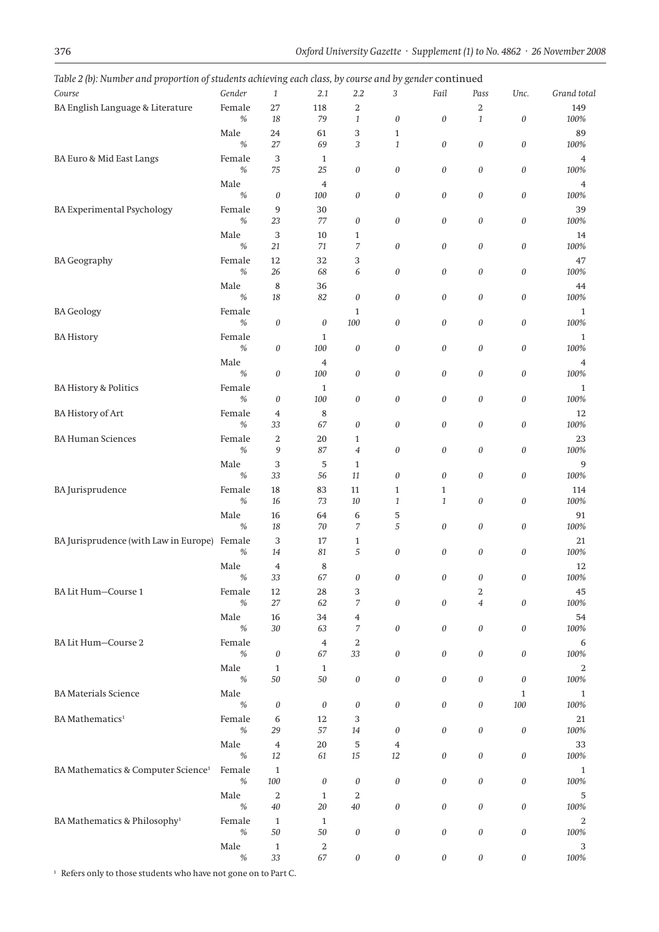| Course                                         | Gender         | 1                         | 2.1                     | <b>-</b> J<br>2.2              | - - - - - - -<br>$\sigma$ <sup><math>\ldots</math></sup><br>3 | Fail                      | Pass                      | Unc.                      | Grand total  |
|------------------------------------------------|----------------|---------------------------|-------------------------|--------------------------------|---------------------------------------------------------------|---------------------------|---------------------------|---------------------------|--------------|
|                                                |                |                           |                         |                                |                                                               |                           |                           |                           |              |
| BA English Language & Literature               | Female<br>$\%$ | 27<br>18                  | 118<br>79               | $\overline{2}$<br>$\mathbf{1}$ | $\boldsymbol{0}$                                              | 0                         | 2<br>$\mathbf{1}$         | 0                         | 149<br>100%  |
|                                                |                |                           |                         |                                |                                                               |                           |                           |                           |              |
|                                                | Male<br>$\%$   | 24<br>27                  | 61<br>69                | 3<br>3                         | $\mathbf{1}$<br>$\mathbf{1}$                                  | 0                         | $\boldsymbol{0}$          | 0                         | 89<br>100%   |
|                                                |                |                           |                         |                                |                                                               |                           |                           |                           |              |
| BA Euro & Mid East Langs                       | Female<br>$\%$ | 3<br>75                   | $\mathbf{1}$<br>25      | 0                              | $\boldsymbol{0}$                                              | 0                         | $\boldsymbol{0}$          | 0                         | 4<br>100%    |
|                                                |                |                           |                         |                                |                                                               |                           |                           |                           |              |
|                                                | Male<br>$\%$   | $\boldsymbol{0}$          | $\overline{4}$<br>100   | 0                              | $\boldsymbol{0}$                                              | 0                         | $\boldsymbol{\mathit{0}}$ | 0                         | 4<br>100%    |
|                                                |                |                           |                         |                                |                                                               |                           |                           |                           |              |
| <b>BA Experimental Psychology</b>              | Female<br>$\%$ | 9<br>23                   | 30<br>77                |                                | $\boldsymbol{0}$                                              | 0                         | $\boldsymbol{\mathit{0}}$ | 0                         | 39           |
|                                                |                |                           |                         | 0                              |                                                               |                           |                           |                           | 100%         |
|                                                | Male<br>$\%$   | 3<br>21                   | 10<br>71                | $\mathbf{1}$<br>7              | $\boldsymbol{0}$                                              |                           | $\boldsymbol{\mathit{0}}$ |                           | 14<br>100%   |
|                                                |                |                           |                         |                                |                                                               | 0                         |                           | 0                         |              |
| <b>BA</b> Geography                            | Female         | 12                        | 32                      | 3                              |                                                               |                           |                           |                           | 47           |
|                                                | $\%$           | 26                        | 68                      | 6                              | $\boldsymbol{0}$                                              | 0                         | $\boldsymbol{\mathit{0}}$ | 0                         | 100%         |
|                                                | Male           | $\,8\,$                   | 36                      |                                |                                                               |                           |                           |                           | 44           |
|                                                | $\%$           | 18                        | 82                      | 0                              | $\boldsymbol{0}$                                              | 0                         | $\boldsymbol{\mathit{0}}$ | $\boldsymbol{0}$          | $100\%$      |
| <b>BA Geology</b>                              | Female         |                           |                         | $\mathbf{1}$                   |                                                               |                           |                           |                           | $\mathbf{1}$ |
|                                                | $\%$           | $\boldsymbol{0}$          | $\boldsymbol{0}$        | 100                            | $\boldsymbol{0}$                                              | 0                         | $\boldsymbol{\mathit{0}}$ | $\boldsymbol{0}$          | 100%         |
| <b>BA History</b>                              | Female         |                           | $\mathbf{1}$            |                                |                                                               |                           |                           |                           | 1            |
|                                                | $\%$           | $\boldsymbol{\mathit{0}}$ | $100\,$                 | 0                              | $\boldsymbol{0}$                                              | 0                         | $\boldsymbol{\mathit{0}}$ | $\boldsymbol{0}$          | 100%         |
|                                                | Male           |                           | $\overline{\mathbf{4}}$ |                                |                                                               |                           |                           |                           | 4            |
|                                                | $\%$           | $\boldsymbol{0}$          | 100                     | 0                              | $\boldsymbol{0}$                                              | 0                         | $\boldsymbol{\mathit{0}}$ | 0                         | $100\%$      |
| <b>BA History &amp; Politics</b>               | Female         |                           | $\mathbf{1}$            |                                |                                                               |                           |                           |                           | 1            |
|                                                | $\%$           | $\boldsymbol{0}$          | 100                     | 0                              | $\boldsymbol{0}$                                              | 0                         | $\boldsymbol{\mathit{0}}$ | 0                         | 100%         |
| <b>BA History of Art</b>                       | Female         | 4                         | 8                       |                                |                                                               |                           |                           |                           | 12           |
|                                                | $\%$           | 33                        | 67                      | 0                              | $\boldsymbol{0}$                                              | 0                         | $\boldsymbol{\mathit{0}}$ | 0                         | $100\%$      |
| <b>BA Human Sciences</b>                       | Female         | $\,2$                     | 20                      | 1                              |                                                               |                           |                           |                           | 23           |
|                                                | $\%$           | 9                         | 87                      | $\overline{\mathcal{A}}$       | $\boldsymbol{0}$                                              | 0                         | $\boldsymbol{\mathit{0}}$ | 0                         | $100\%$      |
|                                                | Male           | 3                         | 5                       | $\mathbf{1}$                   |                                                               |                           |                           |                           | 9            |
|                                                | %              | 33                        | 56                      | 11                             | $\boldsymbol{0}$                                              | 0                         | $\boldsymbol{0}$          | 0                         | 100%         |
| BA Jurisprudence                               | Female         | 18                        | 83                      | 11                             | $\mathbf{1}$                                                  | 1                         |                           |                           | 114          |
|                                                | $\%$           | 16                        | 73                      | $10\,$                         | $\mathbf{1}$                                                  | $\mathbf{1}$              | $\boldsymbol{0}$          | 0                         | 100%         |
|                                                | Male           | 16                        | 64                      | 6                              | 5                                                             |                           |                           |                           | 91           |
|                                                | $\%$           | 18                        | 70                      | 7                              | 5                                                             | 0                         | $\boldsymbol{0}$          | 0                         | 100%         |
| BA Jurisprudence (with Law in Europe) Female   |                | 3                         | 17                      | $\mathbf{1}$                   |                                                               |                           |                           |                           | 21           |
|                                                | $\%$           | 14                        | 81                      | 5                              | $\boldsymbol{0}$                                              | 0                         | $\boldsymbol{0}$          | 0                         | 100%         |
|                                                | Male           | $\overline{4}$            | 8                       |                                |                                                               |                           |                           |                           | 12           |
|                                                | $\%$           | 33                        | 67                      | 0                              | 0                                                             | 0                         | 0                         | 0                         | $100\%$      |
| BA Lit Hum-Course 1                            | Female         | 12                        | 28                      | 3                              |                                                               |                           | 2                         |                           | 45           |
|                                                | $\%$           | $27\,$                    | 62                      | 7                              | $\boldsymbol{0}$                                              | 0                         | $\overline{\mathbf{4}}$   | 0                         | $100\%$      |
|                                                | Male           | 16                        | 34                      | 4                              |                                                               |                           |                           |                           | 54           |
|                                                | $\%$           | 30                        | 63                      | 7                              | $\boldsymbol{0}$                                              | 0                         | $\boldsymbol{\mathit{0}}$ | 0                         | 100%         |
| BA Lit Hum-Course 2                            | Female         |                           | $\overline{4}$          | 2                              |                                                               |                           |                           |                           | 6            |
|                                                | $\%$           | $\boldsymbol{\theta}$     | 67                      | 33                             | $\boldsymbol{0}$                                              | 0                         | $\boldsymbol{\mathit{0}}$ | $\boldsymbol{0}$          | 100%         |
|                                                | Male           | $\mathbf{1}$              | $\mathbf{1}$            |                                |                                                               |                           |                           |                           | 2            |
|                                                | $\%$           | $50\,$                    | $50\,$                  | 0                              | $\boldsymbol{0}$                                              | 0                         | $\boldsymbol{0}$          | $\boldsymbol{0}$          | 100%         |
| <b>BA</b> Materials Science                    | Male           |                           |                         |                                |                                                               |                           |                           | 1                         | $\mathbf{1}$ |
|                                                | %              | $\boldsymbol{0}$          | $\theta$                | 0                              | $\boldsymbol{0}$                                              | 0                         | $\boldsymbol{0}$          | 100                       | 100%         |
| BA Mathematics <sup>1</sup>                    | Female         | 6                         | 12                      | 3                              |                                                               |                           |                           |                           | 21           |
|                                                | $\%$           | 29                        | 57                      | 14                             | $\boldsymbol{0}$                                              | 0                         | $\boldsymbol{\mathit{0}}$ | $\boldsymbol{0}$          | 100%         |
|                                                | Male           |                           | $20\,$                  |                                |                                                               |                           |                           |                           |              |
|                                                | $\%$           | $\bf 4$<br>12             | 61                      | 5<br>15                        | $\overline{\mathbf{4}}$<br>12                                 | 0                         | $\boldsymbol{\mathit{0}}$ | $\boldsymbol{0}$          | 33<br>100%   |
|                                                |                |                           |                         |                                |                                                               |                           |                           |                           |              |
| BA Mathematics & Computer Science <sup>1</sup> | Female<br>$\%$ | $\mathbf{1}$              |                         | 0                              |                                                               | 0                         | $\boldsymbol{\mathit{0}}$ | $\boldsymbol{0}$          | $\mathbf{1}$ |
|                                                |                | 100                       | $\boldsymbol{0}$        |                                | $\boldsymbol{0}$                                              |                           |                           |                           | 100%         |
|                                                | Male           | $\,2$                     | $\mathbf{1}$            | 2                              |                                                               |                           |                           |                           | 5            |
|                                                | $\%$           | $40\,$                    | $20\,$                  | $40\,$                         | $\boldsymbol{0}$                                              | 0                         | $\boldsymbol{0}$          | $\boldsymbol{0}$          | 100%         |
| BA Mathematics & Philosophy <sup>1</sup>       | Female         | $\mathbf{1}$              | $\mathbf{1}$            |                                |                                                               |                           |                           |                           | 2            |
|                                                | $\%$           | $50\,$                    | $50\,$                  | $\it{0}$                       | $\boldsymbol{0}$                                              | 0                         | $\boldsymbol{0}$          | $\boldsymbol{0}$          | $100\%$      |
|                                                | Male           | $\mathbf{1}$              | 2                       |                                |                                                               |                           |                           |                           | 3            |
|                                                | $\%$           | 33                        | 67                      | $\boldsymbol{0}$               | $\boldsymbol{0}$                                              | $\boldsymbol{\mathit{0}}$ | $\boldsymbol{\mathit{0}}$ | $\boldsymbol{\mathit{0}}$ | 100%         |

*Table 2 (b): Number and proportion of students achieving each class, by course and by gender* continued

 $^{\rm 1}$  Refers only to those students who have not gone on to Part C.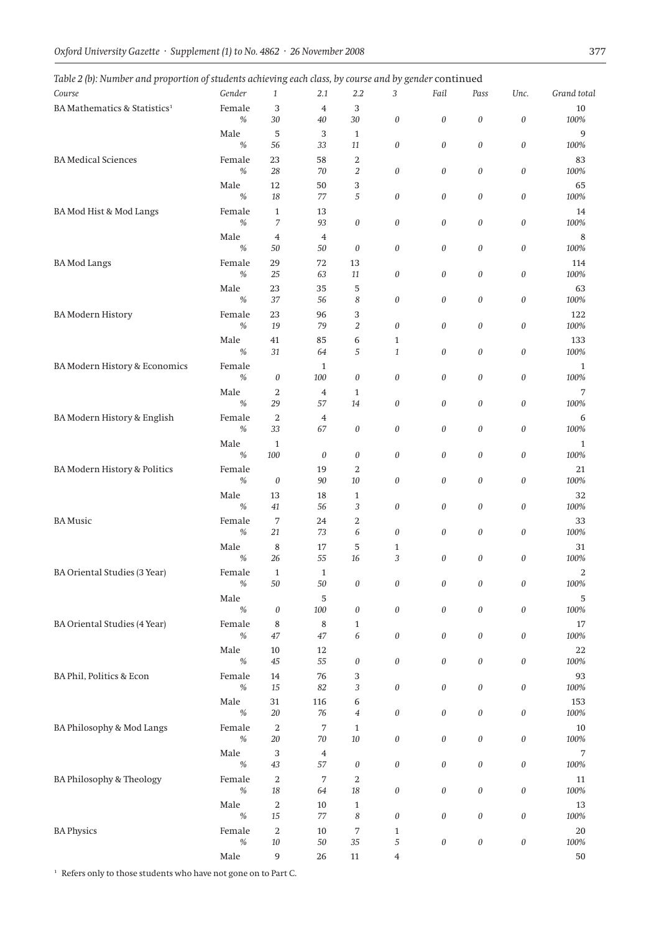|  |  |  |  |  | Table 2 (b): Number and proportion of students achieving each class, by course and by gender $\operatorname{continued}$ |  |  |
|--|--|--|--|--|-------------------------------------------------------------------------------------------------------------------------|--|--|
|  |  |  |  |  |                                                                                                                         |  |  |

| Table 2 (b). Number and proportion of stadents achieving each class, by course and by gender continued |                |                            |                      |                           |                           |                           |                           |                           |                |
|--------------------------------------------------------------------------------------------------------|----------------|----------------------------|----------------------|---------------------------|---------------------------|---------------------------|---------------------------|---------------------------|----------------|
| Course                                                                                                 | Gender         | 1                          | 2.1                  | 2.2                       | 3                         | Fail                      | Pass                      | Unc.                      | Grand total    |
| BA Mathematics & Statistics <sup>1</sup>                                                               | Female         | 3                          | $\overline{4}$       | 3                         |                           |                           |                           |                           | 10             |
|                                                                                                        | $\%$           | $30\,$                     | $40\,$               | $30\,$                    | $\boldsymbol{0}$          | $\boldsymbol{\mathit{0}}$ | $\boldsymbol{\mathit{0}}$ | 0                         | 100%           |
|                                                                                                        | Male<br>$\%$   | 5<br>56                    | 3<br>33              | $\mathbf{1}$<br>11        | $\boldsymbol{0}$          | 0                         | 0                         | $\boldsymbol{\mathit{0}}$ | 9<br>100%      |
| <b>BA</b> Medical Sciences                                                                             | Female         | 23                         | 58                   | 2                         |                           |                           |                           |                           | 83             |
|                                                                                                        | $\%$           | 28                         | 70                   | $\boldsymbol{2}$          | $\boldsymbol{0}$          | 0                         | 0                         | 0                         | 100%           |
|                                                                                                        | Male           | 12                         | 50                   | 3                         |                           |                           |                           |                           | 65             |
|                                                                                                        | $\%$           | 18                         | 77                   | 5                         | $\boldsymbol{0}$          | 0                         | 0                         | $\boldsymbol{\mathit{0}}$ | 100%           |
| BA Mod Hist & Mod Langs                                                                                | Female<br>$\%$ | $\mathbf{1}$<br>7          | 13<br>93             | $\boldsymbol{\theta}$     | $\boldsymbol{0}$          | 0                         | 0                         | $\boldsymbol{\mathit{0}}$ | 14<br>100%     |
|                                                                                                        | Male           | $\overline{4}$             | $\overline{4}$       |                           |                           |                           |                           |                           | 8              |
|                                                                                                        | $\%$           | 50                         | 50                   | 0                         | $\boldsymbol{0}$          | 0                         | 0                         | 0                         | 100%           |
| <b>BA</b> Mod Langs                                                                                    | Female         | 29                         | 72                   | 13                        |                           |                           |                           |                           | 114            |
|                                                                                                        | $\%$           | 25                         | 63                   | 11                        | $\boldsymbol{0}$          | 0                         | 0                         | 0                         | 100%           |
|                                                                                                        | Male           | 23                         | 35                   | 5                         |                           |                           |                           |                           | 63             |
|                                                                                                        | %              | 37                         | 56                   | 8                         | $\boldsymbol{0}$          | 0                         | 0                         | 0                         | 100%           |
| <b>BA</b> Modern History                                                                               | Female<br>$\%$ | 23<br>19                   | 96<br>79             | 3<br>$\overline{2}$       | $\boldsymbol{0}$          | 0                         | 0                         | 0                         | 122<br>$100\%$ |
|                                                                                                        | Male           | 41                         | 85                   | 6                         | $\mathbf{1}$              |                           |                           |                           | 133            |
|                                                                                                        | %              | 31                         | 64                   | 5                         | $\mathbf{1}$              | 0                         | 0                         | $\boldsymbol{\mathit{0}}$ | 100%           |
| BA Modern History & Economics                                                                          | Female         |                            | $\mathbf{1}$         |                           |                           |                           |                           |                           | 1              |
|                                                                                                        | $\%$           | $\boldsymbol{0}$           | 100                  | $\boldsymbol{\mathit{0}}$ | $\boldsymbol{0}$          | 0                         | 0                         | $\boldsymbol{0}$          | 100%           |
|                                                                                                        | Male           | $\boldsymbol{2}$           | $\overline{4}$       | $\mathbf{1}$              |                           |                           |                           |                           | 7              |
|                                                                                                        | %              | 29                         | 57                   | 14                        | $\boldsymbol{0}$          | 0                         | 0                         | $\boldsymbol{0}$          | 100%           |
| BA Modern History & English                                                                            | Female<br>$\%$ | $\,2$<br>33                | $\overline{4}$<br>67 | $\boldsymbol{\mathit{0}}$ | $\boldsymbol{0}$          | 0                         | 0                         | $\boldsymbol{0}$          | 6<br>100%      |
|                                                                                                        | Male           | $\mathbf{1}$               |                      |                           |                           |                           |                           |                           | $\mathbf{1}$   |
|                                                                                                        | %              | 100                        | $\theta$             | 0                         | $\boldsymbol{0}$          | 0                         | 0                         | $\boldsymbol{0}$          | 100%           |
| BA Modern History & Politics                                                                           | Female         |                            | 19                   | 2                         |                           |                           |                           |                           | 21             |
|                                                                                                        | $\%$           | $\boldsymbol{0}$           | 90                   | $10\,$                    | $\boldsymbol{0}$          | 0                         | 0                         | $\boldsymbol{0}$          | 100%           |
|                                                                                                        | Male           | 13                         | 18                   | $\mathbf{1}$              |                           |                           |                           |                           | 32             |
|                                                                                                        | %              | 41                         | 56                   | 3                         | $\boldsymbol{0}$          | 0                         | 0                         | 0                         | 100%           |
| <b>BA</b> Music                                                                                        | Female<br>$\%$ | 7<br>21                    | 24<br>73             | $\boldsymbol{2}$<br>6     | $\boldsymbol{0}$          | 0                         | 0                         | $\boldsymbol{0}$          | 33<br>100%     |
|                                                                                                        | Male           | 8                          | 17                   | 5                         | $\mathbf{1}$              |                           |                           |                           | 31             |
|                                                                                                        | %              | 26                         | 55                   | 16                        | 3                         | 0                         | 0                         | $\boldsymbol{\mathit{0}}$ | 100%           |
| BA Oriental Studies (3 Year)                                                                           | Female         | $\mathbf{1}$               | $\mathbf{1}$         |                           |                           |                           |                           |                           | 2              |
|                                                                                                        | $\%$           | $50\,$                     | $50\,$               | 0                         | $\boldsymbol{\mathit{0}}$ | 0                         | 0                         | $\boldsymbol{0}$          | 100%           |
|                                                                                                        | Male           |                            | 5                    |                           |                           |                           |                           |                           | 5              |
|                                                                                                        | $\frac{0}{0}$  | $\boldsymbol{0}$           | 100                  | $\boldsymbol{0}$          | $\boldsymbol{0}$          | 0                         | $\boldsymbol{0}$          | 0                         | 100%           |
| <b>BA Oriental Studies (4 Year)</b>                                                                    | Female<br>$\%$ | $\,8\,$<br>47              | $\,8\,$<br>47        | $\mathbf{1}$<br>6         | $\boldsymbol{0}$          | 0                         | 0                         | $\boldsymbol{\mathit{0}}$ | 17<br>100%     |
|                                                                                                        | Male           | $10\,$                     | 12                   |                           |                           |                           |                           |                           | 22             |
|                                                                                                        | $\%$           | $45\,$                     | 55                   | $\boldsymbol{0}$          | $\boldsymbol{0}$          | 0                         | 0                         | $\boldsymbol{\mathit{0}}$ | 100%           |
| BA Phil, Politics & Econ                                                                               | Female         | 14                         | 76                   | 3                         |                           |                           |                           |                           | 93             |
|                                                                                                        | $\%$           | 15                         | 82                   | 3                         | $\boldsymbol{0}$          | 0                         | 0                         | $\boldsymbol{\mathit{0}}$ | 100%           |
|                                                                                                        | Male           | 31                         | 116                  | 6                         |                           |                           |                           |                           | 153            |
|                                                                                                        | $\%$           | $20\,$                     | 76                   | 4                         | $\boldsymbol{0}$          | 0                         | $\boldsymbol{0}$          | $\boldsymbol{\mathit{0}}$ | $100\%$        |
| BA Philosophy & Mod Langs                                                                              | Female<br>$\%$ | $\overline{2}$<br>$20\,$   | 7<br>$70\,$          | $\mathbf{1}$<br>$10\,$    | $\boldsymbol{0}$          | 0                         | 0                         | $\boldsymbol{\mathit{0}}$ | $10\,$<br>100% |
|                                                                                                        | Male           | 3                          | $\overline{4}$       |                           |                           |                           |                           |                           | 7              |
|                                                                                                        | $\%$           | $43\,$                     | 57                   | $\boldsymbol{\theta}$     | $\boldsymbol{0}$          | 0                         | 0                         | $\boldsymbol{\mathit{0}}$ | $100\%$        |
| BA Philosophy & Theology                                                                               | Female         | $\,2$                      | 7                    | 2                         |                           |                           |                           |                           | 11             |
|                                                                                                        | $\%$           | $18\,$                     | 64                   | $18\,$                    | $\boldsymbol{0}$          | 0                         | 0                         | $\boldsymbol{\mathit{0}}$ | $100\%$        |
|                                                                                                        | Male           | 2                          | 10                   | $\mathbf{1}$              |                           |                           |                           |                           | 13             |
|                                                                                                        | $\%$           | $15\,$                     | 77                   | 8                         | $\boldsymbol{0}$          | 0                         | $\boldsymbol{0}$          | $\boldsymbol{\mathit{0}}$ | $100\%$        |
| <b>BA Physics</b>                                                                                      | Female<br>$\%$ | $\boldsymbol{2}$<br>$10\,$ | 10<br>$50\,$         | 7<br>35                   | $\mathbf{1}$<br>5         | $\boldsymbol{\mathit{0}}$ | $\boldsymbol{\mathit{0}}$ | $\boldsymbol{\mathit{0}}$ | 20<br>$100\%$  |
|                                                                                                        | Male           | $\boldsymbol{9}$           | 26                   | $11\,$                    | $\overline{4}$            |                           |                           |                           | 50             |
|                                                                                                        |                |                            |                      |                           |                           |                           |                           |                           |                |

 $^{\rm 1}$  Refers only to those students who have not gone on to Part C.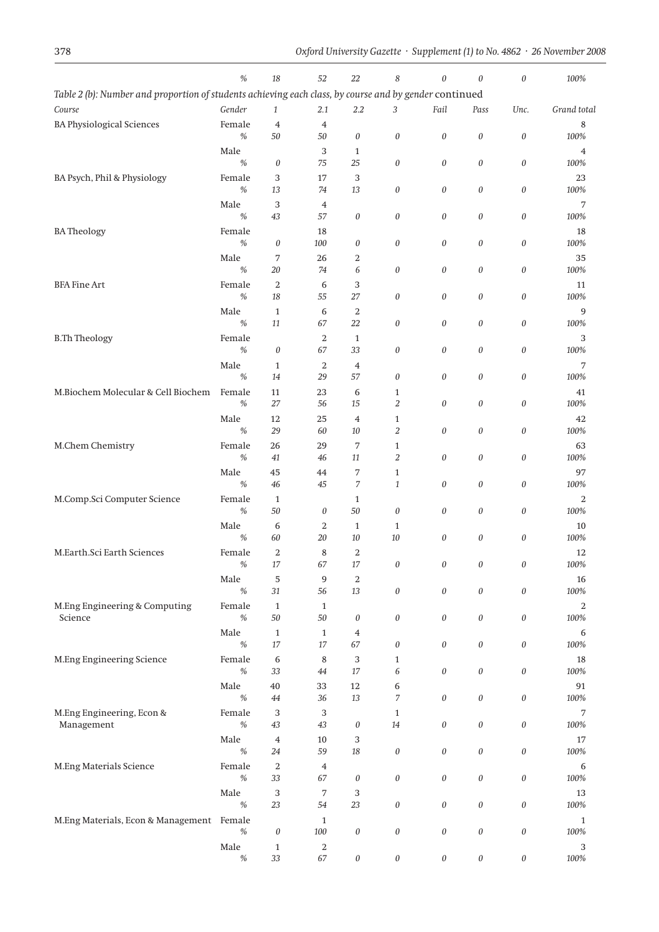|                                                                                                        | $\%$                  | 18                 | 52                   | 22                         | 8                            | $\theta$                  | $\theta$              | $\theta$              | 100%          |
|--------------------------------------------------------------------------------------------------------|-----------------------|--------------------|----------------------|----------------------------|------------------------------|---------------------------|-----------------------|-----------------------|---------------|
| Table 2 (b): Number and proportion of students achieving each class, by course and by gender continued |                       |                    |                      |                            |                              |                           |                       |                       |               |
| Course                                                                                                 | Gender                | $\mathbf{1}$       | 2.1                  | 2.2                        | 3                            | Fail                      | Pass                  | Unc.                  | Grand total   |
| <b>BA Physiological Sciences</b>                                                                       | Female                | $\overline{4}$     | $\overline{4}$       |                            |                              |                           |                       |                       | 8             |
|                                                                                                        | $\%$                  | $50\,$             | 50                   | 0                          | $\boldsymbol{\mathit{0}}$    | $\boldsymbol{0}$          | $\boldsymbol{0}$      | $\boldsymbol{0}$      | 100%          |
|                                                                                                        | Male<br>$\%$          | $\boldsymbol{0}$   | 3<br>75              | $\mathbf{1}$<br>25         | $\boldsymbol{\mathit{0}}$    | 0                         | $\boldsymbol{0}$      | $\boldsymbol{0}$      | 4<br>100%     |
| BA Psych, Phil & Physiology                                                                            | Female                | 3                  | 17                   | 3                          |                              |                           |                       |                       | 23            |
|                                                                                                        | $\%$                  | 13                 | 74                   | 13                         | 0                            | 0                         | $\boldsymbol{\theta}$ | $\boldsymbol{0}$      | 100%          |
|                                                                                                        | Male                  | 3                  | $\overline{4}$       |                            |                              |                           |                       |                       | 7             |
|                                                                                                        | %                     | 43                 | 57                   | 0                          | $\boldsymbol{\mathit{0}}$    | 0                         | $\boldsymbol{\theta}$ | $\boldsymbol{0}$      | 100%          |
| <b>BATheology</b>                                                                                      | Female                |                    | 18                   |                            |                              |                           |                       |                       | 18            |
|                                                                                                        | $\%$<br>Male          | 0                  | 100                  | 0                          | $\boldsymbol{0}$             | 0                         | $\boldsymbol{0}$      | $\theta$              | 100%          |
|                                                                                                        | $\%$                  | 7<br>20            | 26<br>74             | 2<br>6                     | 0                            | 0                         | $\boldsymbol{0}$      | $\theta$              | 35<br>100%    |
| <b>BFA Fine Art</b>                                                                                    | Female                | $\,2$              | 6                    | 3                          |                              |                           |                       |                       | 11            |
|                                                                                                        | $\%$                  | 18                 | 55                   | 27                         | $\boldsymbol{0}$             | 0                         | $\boldsymbol{0}$      | $\boldsymbol{\theta}$ | 100%          |
|                                                                                                        | Male                  | $\mathbf{1}$       | 6                    | $\,2$                      |                              |                           |                       |                       | 9             |
|                                                                                                        | %                     | 11                 | 67                   | 22                         | $\boldsymbol{0}$             | 0                         | $\boldsymbol{0}$      | $\theta$              | 100%          |
| <b>B.Th Theology</b>                                                                                   | Female                |                    | $\boldsymbol{2}$     | $\mathbf{1}$               |                              |                           |                       |                       | 3             |
|                                                                                                        | $\%$                  | 0                  | 67<br>$\overline{2}$ | 33                         | 0                            | 0                         | $\boldsymbol{\theta}$ | $\boldsymbol{0}$      | 100%          |
|                                                                                                        | Male<br>%             | $\mathbf{1}$<br>14 | 29                   | $\overline{4}$<br>57       | 0                            | 0                         | $\boldsymbol{0}$      | $\boldsymbol{0}$      | 7<br>100%     |
| M.Biochem Molecular & Cell Biochem                                                                     | Female                | 11                 | 23                   | 6                          | $\mathbf{1}$                 |                           |                       |                       | 41            |
|                                                                                                        | $\%$                  | 27                 | 56                   | 15                         | 2                            | 0                         | $\boldsymbol{\theta}$ | $\theta$              | 100%          |
|                                                                                                        | Male                  | 12                 | 25                   | $\overline{4}$             | $\mathbf{1}$                 |                           |                       |                       | 42            |
|                                                                                                        | $\%$                  | 29                 | 60                   | 10                         | 2                            | 0                         | 0                     | $\boldsymbol{\theta}$ | 100%          |
| M.Chem Chemistry                                                                                       | Female                | 26                 | 29                   | 7                          | $\mathbf{1}$                 |                           |                       |                       | 63            |
|                                                                                                        | $\%$                  | 41                 | 46                   | 11                         | 2                            | 0                         | $\boldsymbol{0}$      | $\boldsymbol{\theta}$ | 100%          |
|                                                                                                        | Male<br>$\frac{0}{0}$ | 45<br>46           | 44<br>45             | 7<br>7                     | $\mathbf{1}$<br>$\mathbf{1}$ | 0                         | $\boldsymbol{0}$      | $\boldsymbol{0}$      | 97<br>100%    |
| M.Comp.Sci Computer Science                                                                            | Female                | $\mathbf{1}$       |                      | $\mathbf{1}$               |                              |                           |                       |                       | 2             |
|                                                                                                        | $\%$                  | $50\,$             | 0                    | 50                         | $\boldsymbol{0}$             | 0                         | $\boldsymbol{0}$      | $\boldsymbol{0}$      | 100%          |
|                                                                                                        | Male                  | 6                  | $\overline{2}$       | $\mathbf{1}$               | $\mathbf{1}$                 |                           |                       |                       | 10            |
|                                                                                                        | $\%$                  | 60                 | 20                   | $10\,$                     | 10                           | 0                         | $\boldsymbol{0}$      | $\boldsymbol{0}$      | 100%          |
| M.Earth.Sci Earth Sciences                                                                             | Female                | 2                  | 8                    | 2                          |                              |                           |                       |                       | 12            |
|                                                                                                        | $\%$                  | $17\,$             | 67                   | $17\,$                     | $\boldsymbol{\mathit{0}}$    | 0                         | 0                     | 0                     | $100\%$       |
|                                                                                                        | Male<br>$\%$          | 5<br>$31\,$        | 9<br>56              | $\boldsymbol{2}$<br>$13\,$ | $\boldsymbol{0}$             | $\boldsymbol{0}$          | $\boldsymbol{0}$      | $\boldsymbol{0}$      | 16<br>$100\%$ |
| M.Eng Engineering & Computing                                                                          | Female                | $\mathbf{1}$       | $\mathbf{1}$         |                            |                              |                           |                       |                       | 2             |
| Science                                                                                                | $\%$                  | $50\,$             | $50\,$               | 0                          | $\boldsymbol{0}$             | $\boldsymbol{\mathit{0}}$ | $\boldsymbol{0}$      | $\boldsymbol{0}$      | $100\%$       |
|                                                                                                        | Male                  | $\mathbf{1}$       | $\mathbf{1}$         | 4                          |                              |                           |                       |                       | 6             |
|                                                                                                        | $\%$                  | $17\,$             | $17\,$               | 67                         | $\boldsymbol{\mathit{0}}$    | 0                         | $\boldsymbol{0}$      | $\boldsymbol{0}$      | $100\%$       |
| M.Eng Engineering Science                                                                              | Female<br>$\%$        | 6<br>33            | 8<br>$44\,$          | 3<br>$17\,$                | $\mathbf{1}$<br>6            | $\boldsymbol{\mathit{0}}$ | $\boldsymbol{0}$      | $\boldsymbol{0}$      | 18<br>$100\%$ |
|                                                                                                        | Male                  | $40\,$             | 33                   | $12\,$                     | 6                            |                           |                       |                       | 91            |
|                                                                                                        | $\%$                  | $44\,$             | 36                   | $13\,$                     | 7                            | $\boldsymbol{\mathit{0}}$ | $\boldsymbol{0}$      | $\boldsymbol{0}$      | $100\%$       |
| M.Eng Engineering, Econ &                                                                              | Female                | 3                  | 3                    |                            | $\mathbf{1}$                 |                           |                       |                       | 7             |
| Management                                                                                             | $\%$                  | $43\,$             | 43                   | 0                          | $14\,$                       | $\boldsymbol{\mathit{0}}$ | $\boldsymbol{0}$      | $\boldsymbol{0}$      | $100\%$       |
|                                                                                                        | Male                  | 4                  | $10\,$               | 3                          |                              |                           |                       |                       | 17            |
|                                                                                                        | $\%$                  | 24                 | 59                   | $18\,$                     | $\boldsymbol{\mathit{0}}$    | $\boldsymbol{\mathit{0}}$ | $\boldsymbol{0}$      | $\boldsymbol{0}$      | $100\%$       |
| M.Eng Materials Science                                                                                | Female<br>$\%$        | 2<br>33            | $\overline{4}$       |                            |                              | $\boldsymbol{\mathit{0}}$ |                       |                       | 6             |
|                                                                                                        | Male                  | 3                  | 67<br>7              | 0<br>3                     | $\boldsymbol{\mathit{0}}$    |                           | $\boldsymbol{0}$      | $\boldsymbol{0}$      | 100%<br>13    |
|                                                                                                        | $\%$                  | 23                 | 54                   | 23                         | $\boldsymbol{\mathit{0}}$    | $\boldsymbol{\mathit{0}}$ | $\boldsymbol{0}$      | $\boldsymbol{0}$      | 100%          |
| M.Eng Materials, Econ & Management Female                                                              |                       |                    | $\mathbf{1}$         |                            |                              |                           |                       |                       | $\mathbf{1}$  |
|                                                                                                        | $\%$                  | $\boldsymbol{0}$   | $100\,$              | 0                          | $\boldsymbol{\mathit{0}}$    | $\boldsymbol{\mathit{0}}$ | $\boldsymbol{0}$      | $\boldsymbol{0}$      | 100%          |
|                                                                                                        | Male                  | $\mathbf{1}$       | 2                    |                            |                              |                           |                       |                       | 3             |
|                                                                                                        | $\%$                  | 33                 | 67                   | 0                          | $\boldsymbol{\mathit{0}}$    | $\boldsymbol{\mathit{0}}$ | $\boldsymbol{\theta}$ | $\boldsymbol{\theta}$ | 100%          |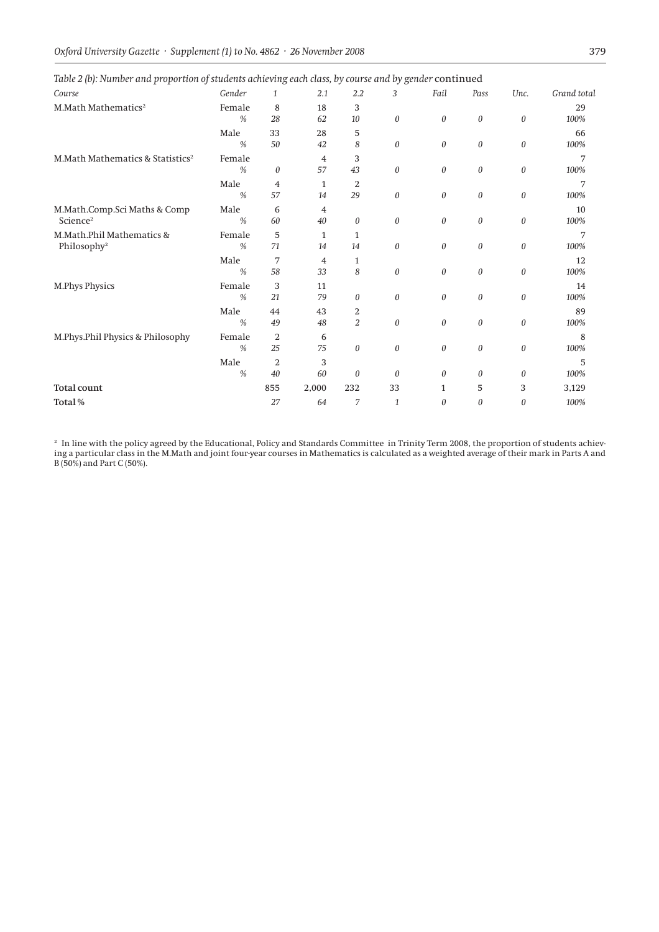| x.<br>் ட<br>Course                                  | Gender                  | ◡<br>$\mathbf{1}$    | 2.1      | $2.2\,$              | ╯<br>3           | Fail         | Pass     | Unc.     | Grand total |
|------------------------------------------------------|-------------------------|----------------------|----------|----------------------|------------------|--------------|----------|----------|-------------|
| M.Math Mathematics <sup>2</sup>                      | Female<br>$\frac{0}{0}$ | 8<br>28              | 18<br>62 | 3<br>10              | $\boldsymbol{0}$ | $\theta$     | 0        | $\theta$ | 29<br>100%  |
|                                                      | Male<br>$\frac{0}{0}$   | 33<br>50             | 28<br>42 | 5<br>8               | $\boldsymbol{0}$ | $\theta$     | 0        | 0        | 66<br>100%  |
| M.Math Mathematics & Statistics <sup>2</sup>         | Female<br>$\frac{0}{0}$ | $\theta$             | 4<br>57  | 3<br>43              | $\boldsymbol{0}$ | $\theta$     | $\theta$ | $\theta$ | 7<br>100%   |
|                                                      | Male<br>$\frac{0}{0}$   | 4<br>57              | 1<br>14  | $\overline{2}$<br>29 | $\boldsymbol{0}$ | $\theta$     | $\theta$ | 0        | 100%        |
| M.Math.Comp.Sci Maths & Comp<br>Science <sup>2</sup> | Male<br>$\frac{0}{0}$   | 6<br>60              | 4<br>40  | 0                    | $\theta$         | $\theta$     | 0        | 0        | 10<br>100%  |
| M.Math.Phil Mathematics &<br>Philosophy <sup>2</sup> | Female<br>$\frac{0}{0}$ | 5<br>71              | 1<br>14  | $\mathbf{1}$<br>14   | $\theta$         | $\theta$     | $\theta$ | 0        | 100%        |
|                                                      | Male<br>$\frac{0}{0}$   | 7<br>58              | 4<br>33  | $\mathbf{1}$<br>8    | $\boldsymbol{0}$ | $\theta$     | $\theta$ | 0        | 12<br>100%  |
| <b>M.Phys Physics</b>                                | Female<br>$\frac{0}{0}$ | 3<br>21              | 11<br>79 | 0                    | $\boldsymbol{0}$ | $\theta$     | $\theta$ | $\theta$ | 14<br>100%  |
|                                                      | Male<br>$\frac{0}{0}$   | 44<br>49             | 43<br>48 | 2<br>$\overline{2}$  | $\boldsymbol{0}$ | $\theta$     | 0        | 0        | 89<br>100%  |
| M.Phys.Phil Physics & Philosophy                     | Female<br>$\frac{0}{0}$ | 2<br>25              | 6<br>75  | 0                    | $\theta$         | $\theta$     | $\theta$ | 0        | 8<br>100%   |
|                                                      | Male<br>$\frac{0}{0}$   | $\overline{2}$<br>40 | 3<br>60  | $\theta$             | $\theta$         | $\theta$     | 0        | 0        | 5<br>100%   |
| <b>Total count</b>                                   |                         | 855                  | 2,000    | 232                  | 33               | $\mathbf{1}$ | 5        | 3        | 3,129       |
| Total%                                               |                         | 27                   | 64       | 7                    | $\mathbf{1}$     | $\theta$     | 0        | 0        | 100%        |

*Table 2 (b): Number and proportion of students achieving each class, by course and by gender* continued

<sup>2</sup> In line with the policy agreed by the Educational, Policy and Standards Committee in Trinity Term 2008, the proportion of students achieving a particular class in the M.Math and joint four-year courses in Mathematics is calculated as a weighted average of their mark in Parts A and B (50%) and Part C (50%).